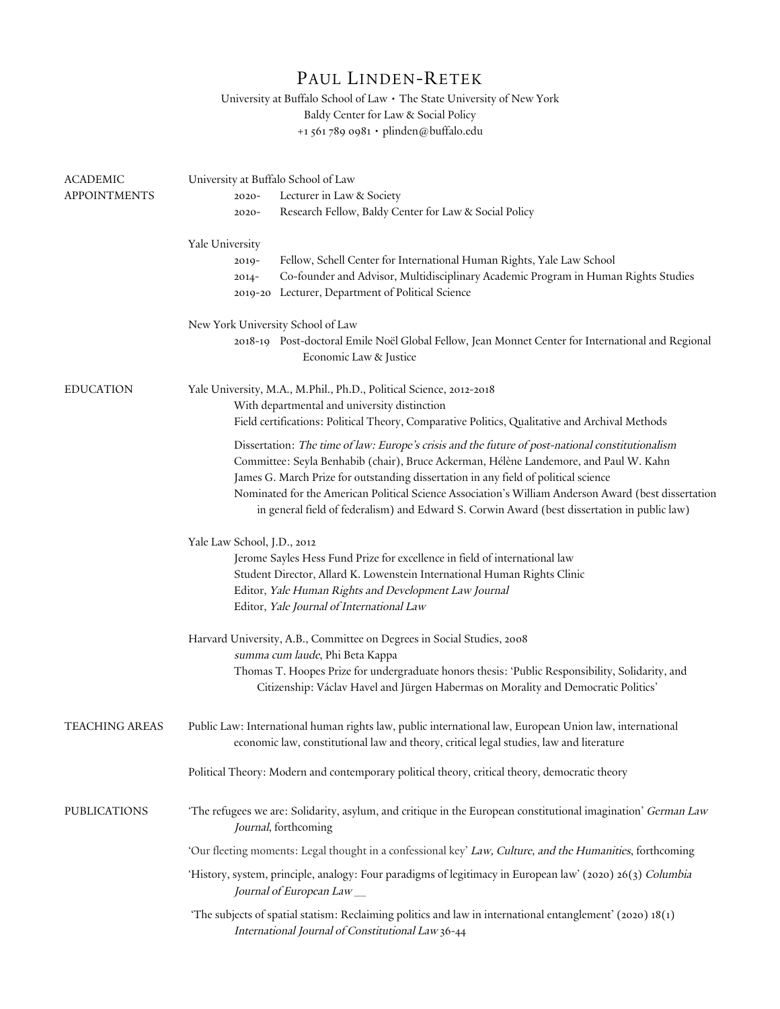## PAUL LINDEN-RETEK

University at Buffalo School of Law • The State University of New York Baldy Center for Law & Social Policy +1 561 789 0981 • plinden@buffalo.edu

| <b>ACADEMIC</b>     | University at Buffalo School of Law                                                                                                                                                                                                                                              |
|---------------------|----------------------------------------------------------------------------------------------------------------------------------------------------------------------------------------------------------------------------------------------------------------------------------|
| <b>APPOINTMENTS</b> | Lecturer in Law & Society<br>$2020 -$                                                                                                                                                                                                                                            |
|                     | Research Fellow, Baldy Center for Law & Social Policy<br>$2020 -$                                                                                                                                                                                                                |
|                     | Yale University                                                                                                                                                                                                                                                                  |
|                     | Fellow, Schell Center for International Human Rights, Yale Law School<br>$2019-$                                                                                                                                                                                                 |
|                     | Co-founder and Advisor, Multidisciplinary Academic Program in Human Rights Studies<br>$2014 -$                                                                                                                                                                                   |
|                     | 2019-20 Lecturer, Department of Political Science                                                                                                                                                                                                                                |
|                     | New York University School of Law                                                                                                                                                                                                                                                |
|                     | 2018-19 Post-doctoral Emile Noël Global Fellow, Jean Monnet Center for International and Regional<br>Economic Law & Justice                                                                                                                                                      |
| <b>EDUCATION</b>    | Yale University, M.A., M.Phil., Ph.D., Political Science, 2012-2018                                                                                                                                                                                                              |
|                     | With departmental and university distinction                                                                                                                                                                                                                                     |
|                     | Field certifications: Political Theory, Comparative Politics, Qualitative and Archival Methods                                                                                                                                                                                   |
|                     | Dissertation: The time of law: Europe's crisis and the future of post-national constitutionalism<br>Committee: Seyla Benhabib (chair), Bruce Ackerman, Hélène Landemore, and Paul W. Kahn<br>James G. March Prize for outstanding dissertation in any field of political science |
|                     | Nominated for the American Political Science Association's William Anderson Award (best dissertation<br>in general field of federalism) and Edward S. Corwin Award (best dissertation in public law)                                                                             |
|                     | Yale Law School, J.D., 2012                                                                                                                                                                                                                                                      |
|                     | Jerome Sayles Hess Fund Prize for excellence in field of international law                                                                                                                                                                                                       |
|                     | Student Director, Allard K. Lowenstein International Human Rights Clinic                                                                                                                                                                                                         |
|                     | Editor, Yale Human Rights and Development Law Journal                                                                                                                                                                                                                            |
|                     | Editor, Yale Journal of International Law                                                                                                                                                                                                                                        |
|                     | Harvard University, A.B., Committee on Degrees in Social Studies, 2008                                                                                                                                                                                                           |
|                     | summa cum laude, Phi Beta Kappa                                                                                                                                                                                                                                                  |
|                     | Thomas T. Hoopes Prize for undergraduate honors thesis: 'Public Responsibility, Solidarity, and<br>Citizenship: Václav Havel and Jürgen Habermas on Morality and Democratic Politics'                                                                                            |
| TEACHING AREAS      | Public Law: International human rights law, public international law, European Union law, international<br>economic law, constitutional law and theory, critical legal studies, law and literature                                                                               |
|                     | Political Theory: Modern and contemporary political theory, critical theory, democratic theory                                                                                                                                                                                   |
| <b>PUBLICATIONS</b> | 'The refugees we are: Solidarity, asylum, and critique in the European constitutional imagination' German Law<br>Journal, forthcoming                                                                                                                                            |
|                     | 'Our fleeting moments: Legal thought in a confessional key' Law, Culture, and the Humanities, forthcoming                                                                                                                                                                        |
|                     | 'History, system, principle, analogy: Four paradigms of legitimacy in European law' (2020) 26(3) Columbia<br>Journal of European Law                                                                                                                                             |
|                     | 'The subjects of spatial statism: Reclaiming politics and law in international entanglement' (2020) 18(1)<br>International Journal of Constitutional Law 36-44                                                                                                                   |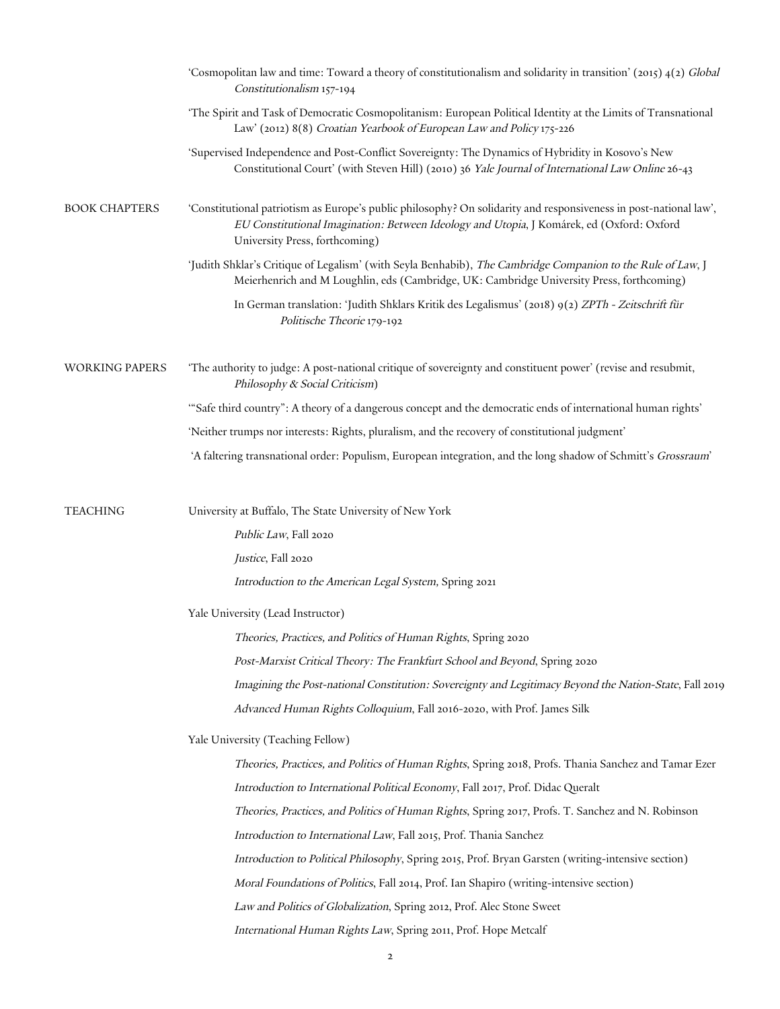|                       | 'Cosmopolitan law and time: Toward a theory of constitutionalism and solidarity in transition' (2015) $4(2)$ Global<br>Constitutionalism 157-194                                                                                                 |
|-----------------------|--------------------------------------------------------------------------------------------------------------------------------------------------------------------------------------------------------------------------------------------------|
|                       | 'The Spirit and Task of Democratic Cosmopolitanism: European Political Identity at the Limits of Transnational<br>Law' (2012) 8(8) Croatian Yearbook of European Law and Policy 175-226                                                          |
|                       | 'Supervised Independence and Post-Conflict Sovereignty: The Dynamics of Hybridity in Kosovo's New<br>Constitutional Court' (with Steven Hill) (2010) 36 Yale Journal of International Law Online 26-43                                           |
| <b>BOOK CHAPTERS</b>  | 'Constitutional patriotism as Europe's public philosophy? On solidarity and responsiveness in post-national law',<br>EU Constitutional Imagination: Between Ideology and Utopia, J Komárek, ed (Oxford: Oxford<br>University Press, forthcoming) |
|                       | 'Judith Shklar's Critique of Legalism' (with Seyla Benhabib), The Cambridge Companion to the Rule of Law, J<br>Meierhenrich and M Loughlin, eds (Cambridge, UK: Cambridge University Press, forthcoming)                                         |
|                       | In German translation: 'Judith Shklars Kritik des Legalismus' (2018) 9(2) ZPTh - Zeitschrift für<br>Politische Theorie 179-192                                                                                                                   |
| <b>WORKING PAPERS</b> | 'The authority to judge: A post-national critique of sovereignty and constituent power' (revise and resubmit,<br>Philosophy & Social Criticism)                                                                                                  |
|                       | "Safe third country": A theory of a dangerous concept and the democratic ends of international human rights"                                                                                                                                     |
|                       | 'Neither trumps nor interests: Rights, pluralism, and the recovery of constitutional judgment'                                                                                                                                                   |
|                       | 'A faltering transnational order: Populism, European integration, and the long shadow of Schmitt's Grossraum'                                                                                                                                    |
| <b>TEACHING</b>       | University at Buffalo, The State University of New York                                                                                                                                                                                          |
|                       | <i>Public Law</i> , Fall 2020                                                                                                                                                                                                                    |
|                       | Justice, Fall 2020                                                                                                                                                                                                                               |
|                       | Introduction to the American Legal System, Spring 2021                                                                                                                                                                                           |
|                       | Yale University (Lead Instructor)                                                                                                                                                                                                                |
|                       | Theories, Practices, and Politics of Human Rights, Spring 2020                                                                                                                                                                                   |
|                       | Post-Marxist Critical Theory: The Frankfurt School and Beyond, Spring 2020                                                                                                                                                                       |
|                       | Imagining the Post-national Constitution: Sovereignty and Legitimacy Beyond the Nation-State, Fall 2019                                                                                                                                          |
|                       | Advanced Human Rights Colloquium, Fall 2016-2020, with Prof. James Silk                                                                                                                                                                          |
|                       | Yale University (Teaching Fellow)                                                                                                                                                                                                                |
|                       | Theories, Practices, and Politics of Human Rights, Spring 2018, Profs. Thania Sanchez and Tamar Ezer                                                                                                                                             |
|                       | Introduction to International Political Economy, Fall 2017, Prof. Didac Queralt                                                                                                                                                                  |
|                       | Theories, Practices, and Politics of Human Rights, Spring 2017, Profs. T. Sanchez and N. Robinson                                                                                                                                                |
|                       | Introduction to International Law, Fall 2015, Prof. Thania Sanchez                                                                                                                                                                               |
|                       | Introduction to Political Philosophy, Spring 2015, Prof. Bryan Garsten (writing-intensive section)                                                                                                                                               |
|                       | Moral Foundations of Politics, Fall 2014, Prof. Ian Shapiro (writing-intensive section)                                                                                                                                                          |
|                       | Law and Politics of Globalization, Spring 2012, Prof. Alec Stone Sweet                                                                                                                                                                           |
|                       | International Human Rights Law, Spring 2011, Prof. Hope Metcalf                                                                                                                                                                                  |
|                       |                                                                                                                                                                                                                                                  |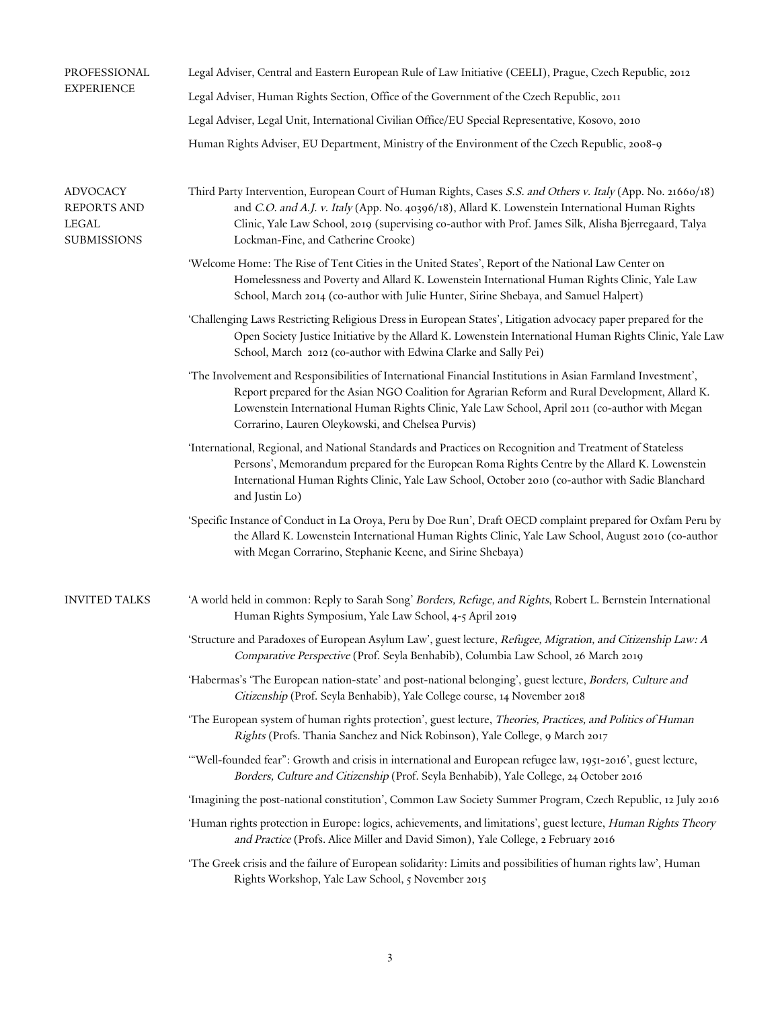| PROFESSIONAL<br><b>EXPERIENCE</b>                                    | Legal Adviser, Central and Eastern European Rule of Law Initiative (CEELI), Prague, Czech Republic, 2012                                                                                                                                                                                                                                                                 |
|----------------------------------------------------------------------|--------------------------------------------------------------------------------------------------------------------------------------------------------------------------------------------------------------------------------------------------------------------------------------------------------------------------------------------------------------------------|
|                                                                      | Legal Adviser, Human Rights Section, Office of the Government of the Czech Republic, 2011                                                                                                                                                                                                                                                                                |
|                                                                      | Legal Adviser, Legal Unit, International Civilian Office/EU Special Representative, Kosovo, 2010                                                                                                                                                                                                                                                                         |
|                                                                      | Human Rights Adviser, EU Department, Ministry of the Environment of the Czech Republic, 2008-9                                                                                                                                                                                                                                                                           |
| <b>ADVOCACY</b><br><b>REPORTS AND</b><br>LEGAL<br><b>SUBMISSIONS</b> | Third Party Intervention, European Court of Human Rights, Cases S.S. and Others v. Italy (App. No. 21660/18)<br>and C.O. and A.J. v. Italy (App. No. 40396/18), Allard K. Lowenstein International Human Rights<br>Clinic, Yale Law School, 2019 (supervising co-author with Prof. James Silk, Alisha Bjerregaard, Talya<br>Lockman-Fine, and Catherine Crooke)          |
|                                                                      | 'Welcome Home: The Rise of Tent Cities in the United States', Report of the National Law Center on<br>Homelessness and Poverty and Allard K. Lowenstein International Human Rights Clinic, Yale Law<br>School, March 2014 (co-author with Julie Hunter, Sirine Shebaya, and Samuel Halpert)                                                                              |
|                                                                      | 'Challenging Laws Restricting Religious Dress in European States', Litigation advocacy paper prepared for the<br>Open Society Justice Initiative by the Allard K. Lowenstein International Human Rights Clinic, Yale Law<br>School, March 2012 (co-author with Edwina Clarke and Sally Pei)                                                                              |
|                                                                      | 'The Involvement and Responsibilities of International Financial Institutions in Asian Farmland Investment',<br>Report prepared for the Asian NGO Coalition for Agrarian Reform and Rural Development, Allard K.<br>Lowenstein International Human Rights Clinic, Yale Law School, April 2011 (co-author with Megan<br>Corrarino, Lauren Oleykowski, and Chelsea Purvis) |
|                                                                      | 'International, Regional, and National Standards and Practices on Recognition and Treatment of Stateless<br>Persons', Memorandum prepared for the European Roma Rights Centre by the Allard K. Lowenstein<br>International Human Rights Clinic, Yale Law School, October 2010 (co-author with Sadie Blanchard<br>and Justin Lo)                                          |
|                                                                      | 'Specific Instance of Conduct in La Oroya, Peru by Doe Run', Draft OECD complaint prepared for Oxfam Peru by<br>the Allard K. Lowenstein International Human Rights Clinic, Yale Law School, August 2010 (co-author<br>with Megan Corrarino, Stephanie Keene, and Sirine Shebaya)                                                                                        |
| <b>INVITED TALKS</b>                                                 | 'A world held in common: Reply to Sarah Song' Borders, Refuge, and Rights, Robert L. Bernstein International<br>Human Rights Symposium, Yale Law School, 4-5 April 2019                                                                                                                                                                                                  |
|                                                                      | 'Structure and Paradoxes of European Asylum Law', guest lecture, Refugee, Migration, and Citizenship Law: A<br>Comparative Perspective (Prof. Seyla Benhabib), Columbia Law School, 26 March 2019                                                                                                                                                                        |
|                                                                      | 'Habermas's 'The European nation-state' and post-national belonging', guest lecture, Borders, Culture and<br>Citizenship (Prof. Seyla Benhabib), Yale College course, 14 November 2018                                                                                                                                                                                   |
|                                                                      | 'The European system of human rights protection', guest lecture, Theories, Practices, and Politics of Human<br>Rights (Profs. Thania Sanchez and Nick Robinson), Yale College, 9 March 2017                                                                                                                                                                              |
|                                                                      | "Well-founded fear": Growth and crisis in international and European refugee law, 1951-2016', guest lecture,<br>Borders, Culture and Citizenship (Prof. Seyla Benhabib), Yale College, 24 October 2016                                                                                                                                                                   |
|                                                                      | 'Imagining the post-national constitution', Common Law Society Summer Program, Czech Republic, 12 July 2016                                                                                                                                                                                                                                                              |
|                                                                      | 'Human rights protection in Europe: logics, achievements, and limitations', guest lecture, Human Rights Theory<br>and Practice (Profs. Alice Miller and David Simon), Yale College, 2 February 2016                                                                                                                                                                      |
|                                                                      | 'The Greek crisis and the failure of European solidarity: Limits and possibilities of human rights law', Human<br>Rights Workshop, Yale Law School, 5 November 2015                                                                                                                                                                                                      |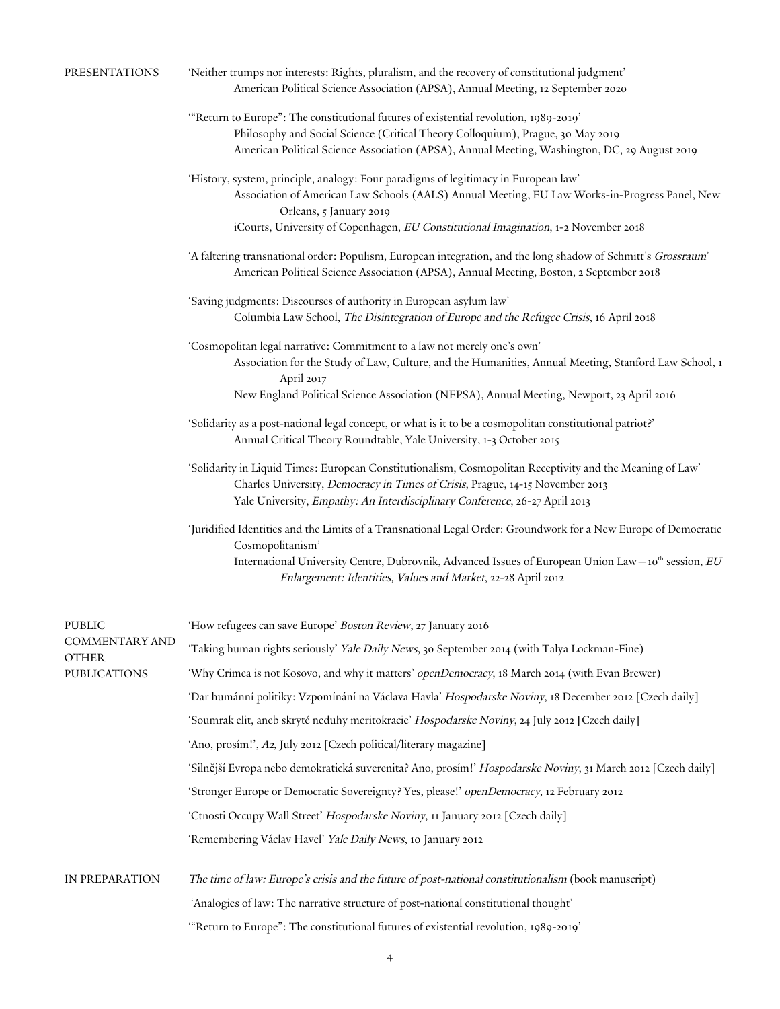| PRESENTATIONS | 'Neither trumps nor interests: Rights, pluralism, and the recovery of constitutional judgment' |  |
|---------------|------------------------------------------------------------------------------------------------|--|
|               | American Political Science Association (APSA), Annual Meeting, 12 September 2020               |  |

- '"Return to Europe": The constitutional futures of existential revolution, 1989-2019' Philosophy and Social Science (Critical Theory Colloquium), Prague, 30 May 2019 American Political Science Association (APSA), Annual Meeting, Washington, DC, 29 August 2019
- 'History, system, principle, analogy: Four paradigms of legitimacy in European law' Association of American Law Schools (AALS) Annual Meeting, EU Law Works-in-Progress Panel, New Orleans, 5 January 2019 iCourts, University of Copenhagen, EU Constitutional Imagination, 1-2 November 2018
	-
- 'A faltering transnational order: Populism, European integration, and the long shadow of Schmitt's Grossraum' American Political Science Association (APSA), Annual Meeting, Boston, 2 September 2018
- 'Saving judgments: Discourses of authority in European asylum law' Columbia Law School, The Disintegration of Europe and the Refugee Crisis, 16 April 2018
- 'Cosmopolitan legal narrative: Commitment to a law not merely one's own' Association for the Study of Law, Culture, and the Humanities, Annual Meeting, Stanford Law School, 1 April 2017
	- New England Political Science Association (NEPSA), Annual Meeting, Newport, 23 April 2016
- 'Solidarity as a post-national legal concept, or what is it to be a cosmopolitan constitutional patriot?' Annual Critical Theory Roundtable, Yale University, 1-3 October 2015
- 'Solidarity in Liquid Times: European Constitutionalism, Cosmopolitan Receptivity and the Meaning of Law' Charles University, Democracy in Times of Crisis, Prague, 14-15 November 2013 Yale University, Empathy: An Interdisciplinary Conference, 26-27 April 2013
- 'Juridified Identities and the Limits of a Transnational Legal Order: Groundwork for a New Europe of Democratic Cosmopolitanism' International University Centre, Dubrovnik, Advanced Issues of European Union Law –  $10^{th}$  session,  $EU$ Enlargement: Identities, Values and Market, 22-28 April 2012

| <b>PUBLIC</b><br><b>COMMENTARY AND</b><br><b>OTHER</b><br><b>PUBLICATIONS</b> | 'How refugees can save Europe' Boston Review, 27 January 2016                                                |
|-------------------------------------------------------------------------------|--------------------------------------------------------------------------------------------------------------|
|                                                                               | 'Taking human rights seriously' Yale Daily News, 30 September 2014 (with Talya Lockman-Fine)                 |
|                                                                               | 'Why Crimea is not Kosovo, and why it matters' openDemocracy, 18 March 2014 (with Evan Brewer)               |
|                                                                               | 'Dar humánní politiky: Vzpomínání na Václava Havla' Hospodarske Noviny, 18 December 2012 [Czech daily]       |
|                                                                               | 'Soumrak elit, aneb skryté neduhy meritokracie' Hospodarske Noviny, 24 July 2012 [Czech daily]               |
|                                                                               | 'Ano, prosím!', A2, July 2012 [Czech political/literary magazine]                                            |
|                                                                               | 'Silnější Evropa nebo demokratická suverenita? Ano, prosím!' Hospodarske Noviny, 31 March 2012 [Czech daily] |
|                                                                               | 'Stronger Europe or Democratic Sovereignty? Yes, please!' openDemocracy, 12 February 2012                    |
|                                                                               | 'Ctnosti Occupy Wall Street' Hospodarske Noviny, 11 January 2012 [Czech daily]                               |
|                                                                               | 'Remembering Václav Havel' Yale Daily News, 10 January 2012                                                  |
| IN PREPARATION                                                                | The time of law: Europe's crisis and the future of post-national constitutionalism (book manuscript)         |
|                                                                               | 'Analogies of law: The narrative structure of post-national constitutional thought'                          |
|                                                                               | "Return to Europe": The constitutional futures of existential revolution, 1989-2019"                         |